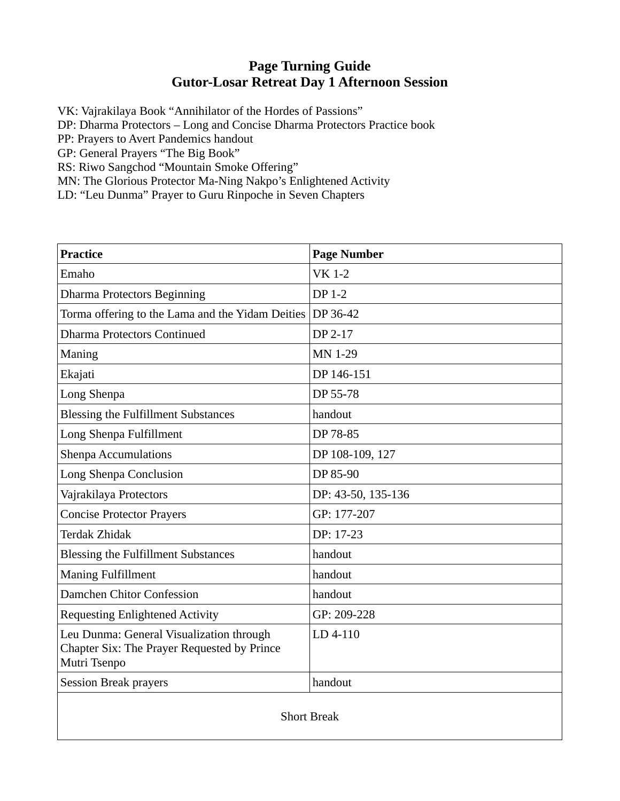## **Page Turning Guide Gutor-Losar Retreat Day 1 Afternoon Session**

VK: Vajrakilaya Book "Annihilator of the Hordes of Passions"

DP: Dharma Protectors – Long and Concise Dharma Protectors Practice book

PP: Prayers to Avert Pandemics handout

GP: General Prayers "The Big Book"

RS: Riwo Sangchod "Mountain Smoke Offering"

MN: The Glorious Protector Ma-Ning Nakpo's Enlightened Activity

LD: "Leu Dunma" Prayer to Guru Rinpoche in Seven Chapters

| <b>Practice</b>                                                                                         | <b>Page Number</b> |  |
|---------------------------------------------------------------------------------------------------------|--------------------|--|
| Emaho                                                                                                   | <b>VK 1-2</b>      |  |
| <b>Dharma Protectors Beginning</b>                                                                      | <b>DP 1-2</b>      |  |
| Torma offering to the Lama and the Yidam Deities                                                        | DP 36-42           |  |
| <b>Dharma Protectors Continued</b>                                                                      | DP 2-17            |  |
| Maning                                                                                                  | <b>MN 1-29</b>     |  |
| Ekajati                                                                                                 | DP 146-151         |  |
| Long Shenpa                                                                                             | DP 55-78           |  |
| <b>Blessing the Fulfillment Substances</b>                                                              | handout            |  |
| Long Shenpa Fulfillment                                                                                 | DP 78-85           |  |
| <b>Shenpa Accumulations</b>                                                                             | DP 108-109, 127    |  |
| Long Shenpa Conclusion                                                                                  | DP 85-90           |  |
| Vajrakilaya Protectors                                                                                  | DP: 43-50, 135-136 |  |
| <b>Concise Protector Prayers</b>                                                                        | GP: 177-207        |  |
| <b>Terdak Zhidak</b>                                                                                    | DP: 17-23          |  |
| <b>Blessing the Fulfillment Substances</b>                                                              | handout            |  |
| <b>Maning Fulfillment</b>                                                                               | handout            |  |
| Damchen Chitor Confession                                                                               | handout            |  |
| <b>Requesting Enlightened Activity</b>                                                                  | GP: 209-228        |  |
| Leu Dunma: General Visualization through<br>Chapter Six: The Prayer Requested by Prince<br>Mutri Tsenpo | LD 4-110           |  |
| <b>Session Break prayers</b>                                                                            | handout            |  |
| <b>Short Break</b>                                                                                      |                    |  |